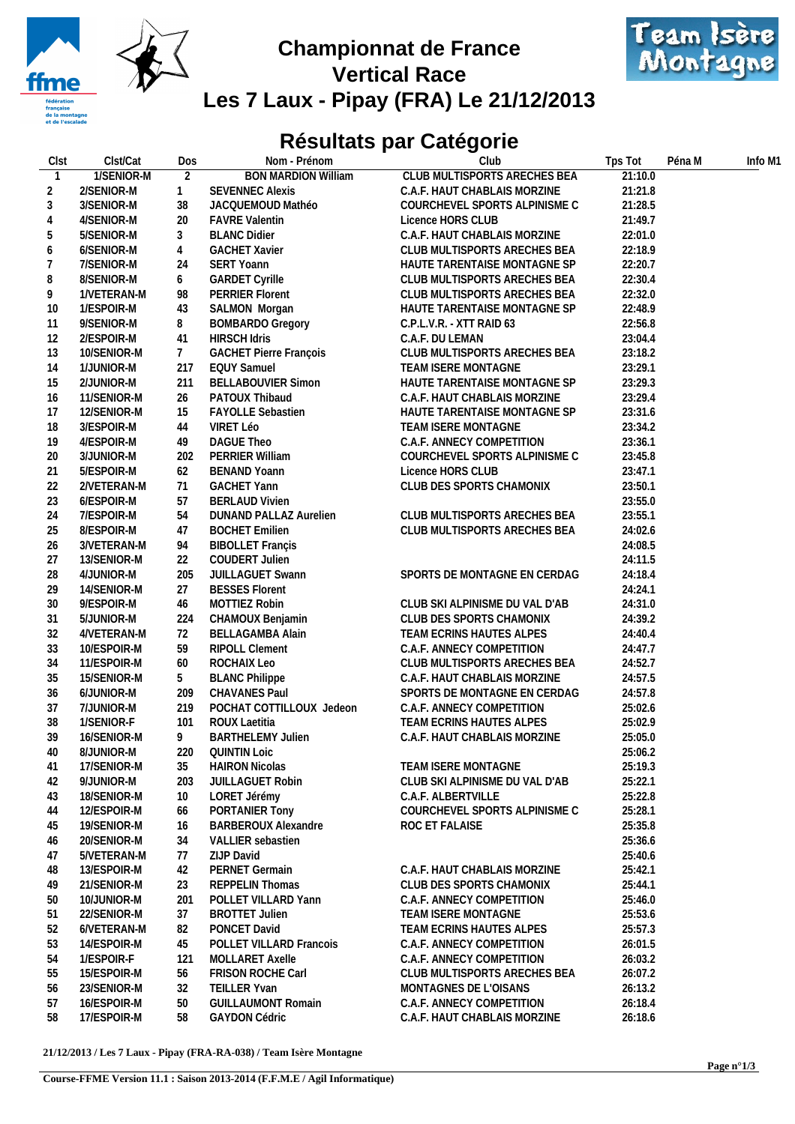

## Championnat de France<br>Montagne **Vertical Race Les 7 Laux - Pipay (FRA) Le 21/12/2013**



## **Résultats par Catégorie**

| Clst             | Clst/Cat                  | Dos             | Nom - Prénom                   | Club                           | Tps Tot | Péna M | Info M1 |
|------------------|---------------------------|-----------------|--------------------------------|--------------------------------|---------|--------|---------|
| $\mathbf{1}$     | 1/SENIOR-M                | 2               | <b>BON MARDION William</b>     | CLUB MULTISPORTS ARECHES BEA   | 21:10.0 |        |         |
| 2                | 2/SENIOR-M                | $\mathbf{1}$    | <b>SEVENNEC Alexis</b>         | C.A.F. HAUT CHABLAIS MORZINE   | 21:21.8 |        |         |
| 3                | 3/SENIOR-M                | 38              | JACQUEMOUD Mathéo              | COURCHEVEL SPORTS ALPINISME C  | 21:28.5 |        |         |
| $\overline{4}$   | 4/SENIOR-M                | 20              | <b>FAVRE Valentin</b>          | Licence HORS CLUB              | 21:49.7 |        |         |
| 5                | 5/SENIOR-M                | 3               | <b>BLANC Didier</b>            | C.A.F. HAUT CHABLAIS MORZINE   | 22:01.0 |        |         |
| $\boldsymbol{6}$ | 6/SENIOR-M                | $\overline{4}$  | <b>GACHET Xavier</b>           | CLUB MULTISPORTS ARECHES BEA   | 22:18.9 |        |         |
| 7                | 7/SENIOR-M                | 24              | SERT Yoann                     | HAUTE TARENTAISE MONTAGNE SP   | 22:20.7 |        |         |
| 8                | 8/SENIOR-M                | 6               | <b>GARDET Cyrille</b>          | CLUB MULTISPORTS ARECHES BEA   | 22:30.4 |        |         |
| 9                | 1/VETERAN-M               | 98              | <b>PERRIER Florent</b>         | CLUB MULTISPORTS ARECHES BEA   | 22:32.0 |        |         |
| 10               | 1/ESPOIR-M                | 43              | SALMON Morgan                  | HAUTE TARENTAISE MONTAGNE SP   | 22:48.9 |        |         |
| 11               | 9/SENIOR-M                | 8               | <b>BOMBARDO Gregory</b>        | C.P.L.V.R. - XTT RAID 63       | 22:56.8 |        |         |
| 12               | 2/ESPOIR-M                | 41              | <b>HIRSCH Idris</b>            | C.A.F. DU LEMAN                | 23:04.4 |        |         |
| 13               | 10/SENIOR-M               | $7\overline{ }$ | <b>GACHET Pierre François</b>  | CLUB MULTISPORTS ARECHES BEA   | 23:18.2 |        |         |
|                  | 1/JUNIOR-M                | 217             | <b>EQUY Samuel</b>             | TEAM ISERE MONTAGNE            | 23:29.1 |        |         |
| 14               |                           |                 | <b>BELLABOUVIER Simon</b>      |                                | 23:29.3 |        |         |
| 15               | 2/JUNIOR-M<br>11/SENIOR-M | 211             |                                | HAUTE TARENTAISE MONTAGNE SP   |         |        |         |
| 16               |                           | 26              | PATOUX Thibaud                 | C.A.F. HAUT CHABLAIS MORZINE   | 23:29.4 |        |         |
| 17               | 12/SENIOR-M               | 15              | <b>FAYOLLE Sebastien</b>       | HAUTE TARENTAISE MONTAGNE SP   | 23:31.6 |        |         |
| 18               | 3/ESPOIR-M                | 44              | VIRET Léo                      | TEAM ISERE MONTAGNE            | 23:34.2 |        |         |
| 19               | 4/ESPOIR-M                | 49              | DAGUE Theo                     | C.A.F. ANNECY COMPETITION      | 23:36.1 |        |         |
| 20               | 3/JUNIOR-M                | 202             | PERRIER William                | COURCHEVEL SPORTS ALPINISME C  | 23:45.8 |        |         |
| 21               | 5/ESPOIR-M                | 62              | <b>BENAND Yoann</b>            | Licence HORS CLUB              | 23:47.1 |        |         |
| 22               | 2/VETERAN-M               | 71              | <b>GACHET Yann</b>             | CLUB DES SPORTS CHAMONIX       | 23:50.1 |        |         |
| 23               | 6/ESPOIR-M                | 57              | <b>BERLAUD Vivien</b>          |                                | 23:55.0 |        |         |
| 24               | 7/ESPOIR-M                | 54              | DUNAND PALLAZ Aurelien         | CLUB MULTISPORTS ARECHES BEA   | 23:55.1 |        |         |
| 25               | 8/ESPOIR-M                | 47              | <b>BOCHET Emilien</b>          | CLUB MULTISPORTS ARECHES BEA   | 24:02.6 |        |         |
| 26               | 3/VETERAN-M               | 94              | <b>BIBOLLET Françis</b>        |                                | 24:08.5 |        |         |
| 27               | 13/SENIOR-M               | 22              | <b>COUDERT Julien</b>          |                                | 24:11.5 |        |         |
| 28               | 4/JUNIOR-M                | 205             | JUILLAGUET Swann               | SPORTS DE MONTAGNE EN CERDAG   | 24:18.4 |        |         |
| 29               | 14/SENIOR-M               | 27              | <b>BESSES Florent</b>          |                                | 24:24.1 |        |         |
| 30               | 9/ESPOIR-M                | 46              | MOTTIEZ Robin                  | CLUB SKI ALPINISME DU VAL D'AB | 24:31.0 |        |         |
| 31               | 5/JUNIOR-M                | 224             | CHAMOUX Benjamin               | CLUB DES SPORTS CHAMONIX       | 24:39.2 |        |         |
| 32               | 4/VETERAN-M               | 72              | <b>BELLAGAMBA Alain</b>        | TEAM ECRINS HAUTES ALPES       | 24:40.4 |        |         |
| 33               | 10/ESPOIR-M               | 59              | <b>RIPOLL Clement</b>          | C.A.F. ANNECY COMPETITION      | 24:47.7 |        |         |
| 34               | 11/ESPOIR-M               | 60              | ROCHAIX Leo                    | CLUB MULTISPORTS ARECHES BEA   | 24:52.7 |        |         |
| 35               | 15/SENIOR-M               | 5               | <b>BLANC Philippe</b>          | C.A.F. HAUT CHABLAIS MORZINE   | 24:57.5 |        |         |
| 36               | 6/JUNIOR-M                | 209             | <b>CHAVANES Paul</b>           | SPORTS DE MONTAGNE EN CERDAG   | 24:57.8 |        |         |
| 37               | 7/JUNIOR-M                | 219             | POCHAT COTTILLOUX Jedeon       | C.A.F. ANNECY COMPETITION      | 25:02.6 |        |         |
| 38               | 1/SENIOR-F                | 101             | ROUX Laetitia                  | TEAM ECRINS HAUTES ALPES       | 25:02.9 |        |         |
| 39               | 16/SENIOR-M               | 9               | <b>BARTHELEMY Julien</b>       | C.A.F. HAUT CHABLAIS MORZINE   | 25:05.0 |        |         |
| 40               | 8/JUNIOR-M                |                 | 220 QUINTIN Loic               |                                | 25:06.2 |        |         |
| 41               | 17/SENIOR-M               | 35              | <b>HAIRON Nicolas</b>          | TEAM ISERE MONTAGNE            | 25:19.3 |        |         |
| 42               | 9/JUNIOR-M                | 203             | JUILLAGUET Robin               | CLUB SKI ALPINISME DU VAL D'AB | 25:22.1 |        |         |
| 43               | 18/SENIOR-M               | 10              | LORET Jérémy                   | C.A.F. ALBERTVILLE             | 25:22.8 |        |         |
| 44               | 12/ESPOIR-M               | 66              | PORTANIER Tony                 | COURCHEVEL SPORTS ALPINISME C  | 25:28.1 |        |         |
| 45               | 19/SENIOR-M               | 16              | <b>BARBEROUX Alexandre</b>     | ROC ET FALAISE                 | 25:35.8 |        |         |
| 46               | 20/SENIOR-M               | 34              | VALLIER sebastien              |                                | 25:36.6 |        |         |
| 47               | 5/VETERAN-M               | 77              | ZIJP David                     |                                | 25:40.6 |        |         |
| 48               | 13/ESPOIR-M               | 42              | PERNET Germain                 | C.A.F. HAUT CHABLAIS MORZINE   | 25:42.1 |        |         |
| 49               | 21/SENIOR-M               | 23              | <b>REPPELIN Thomas</b>         | CLUB DES SPORTS CHAMONIX       | 25:44.1 |        |         |
| 50               | 10/JUNIOR-M               | 201             | POLLET VILLARD Yann            | C.A.F. ANNECY COMPETITION      | 25:46.0 |        |         |
| 51               | 22/SENIOR-M               | 37              | <b>BROTTET Julien</b>          | TEAM ISERE MONTAGNE            | 25:53.6 |        |         |
| 52               | 6/VETERAN-M               | 82              | PONCET David                   | TEAM ECRINS HAUTES ALPES       | 25:57.3 |        |         |
| 53               | 14/ESPOIR-M               | 45              | <b>POLLET VILLARD Francois</b> | C.A.F. ANNECY COMPETITION      | 26:01.5 |        |         |
| 54               | 1/ESPOIR-F                | 121             | <b>MOLLARET Axelle</b>         | C.A.F. ANNECY COMPETITION      | 26:03.2 |        |         |
| 55               | 15/ESPOIR-M               | 56              | FRISON ROCHE Carl              | CLUB MULTISPORTS ARECHES BEA   | 26:07.2 |        |         |
| 56               | 23/SENIOR-M               | 32              | <b>TEILLER Yvan</b>            | MONTAGNES DE L'OISANS          | 26:13.2 |        |         |
| 57               | 16/ESPOIR-M               | 50              | <b>GUILLAUMONT Romain</b>      | C.A.F. ANNECY COMPETITION      | 26:18.4 |        |         |
| 58               | 17/ESPOIR-M               | 58              | <b>GAYDON Cédric</b>           | C.A.F. HAUT CHABLAIS MORZINE   | 26:18.6 |        |         |
|                  |                           |                 |                                |                                |         |        |         |

**21/12/2013 / Les 7 Laux - Pipay (FRA-RA-038) / Team Isère Montagne**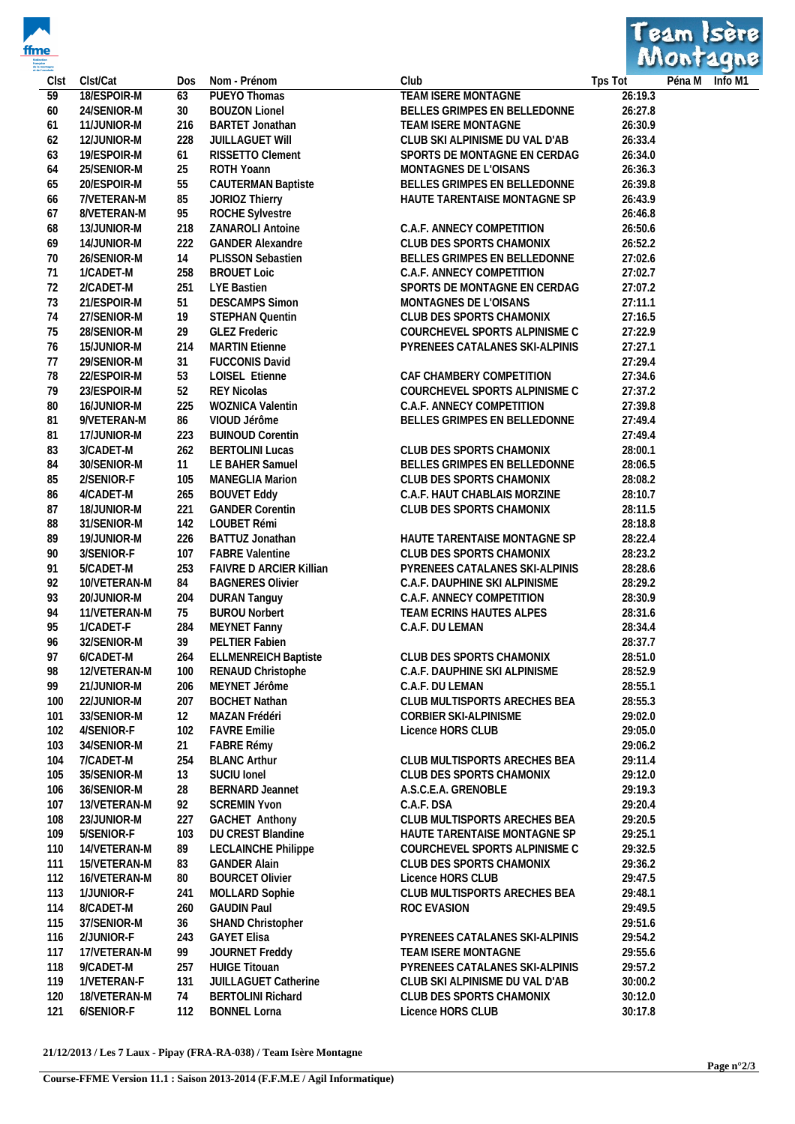



| Clst | Clst/Cat     | Dos | Nom - Prénom                   | Club                           | Tps Tot | Péna M Info M1 |  |
|------|--------------|-----|--------------------------------|--------------------------------|---------|----------------|--|
| 59   | 18/ESPOIR-M  | 63  | PUEYO Thomas                   | TEAM ISERE MONTAGNE            | 26:19.3 |                |  |
| 60   | 24/SENIOR-M  | 30  | <b>BOUZON Lionel</b>           | BELLES GRIMPES EN BELLEDONNE   | 26:27.8 |                |  |
| 61   | 11/JUNIOR-M  | 216 | <b>BARTET Jonathan</b>         | TEAM ISERE MONTAGNE            | 26:30.9 |                |  |
| 62   | 12/JUNIOR-M  | 228 | JUILLAGUET WIII                | CLUB SKI ALPINISME DU VAL D'AB | 26:33.4 |                |  |
| 63   | 19/ESPOIR-M  | 61  | RISSETTO Clement               | SPORTS DE MONTAGNE EN CERDAG   | 26:34.0 |                |  |
| 64   | 25/SENIOR-M  | 25  | ROTH Yoann                     | MONTAGNES DE L'OISANS          | 26:36.3 |                |  |
| 65   | 20/ESPOIR-M  | 55  | <b>CAUTERMAN Baptiste</b>      | BELLES GRIMPES EN BELLEDONNE   | 26:39.8 |                |  |
| 66   | 7/VETERAN-M  | 85  | JORIOZ Thierry                 | HAUTE TARENTAISE MONTAGNE SP   | 26:43.9 |                |  |
| 67   | 8/VETERAN-M  | 95  | ROCHE Sylvestre                |                                | 26:46.8 |                |  |
| 68   | 13/JUNIOR-M  | 218 | ZANAROLI Antoine               | C.A.F. ANNECY COMPETITION      | 26:50.6 |                |  |
| 69   | 14/JUNIOR-M  | 222 | <b>GANDER Alexandre</b>        | CLUB DES SPORTS CHAMONIX       | 26:52.2 |                |  |
| 70   | 26/SENIOR-M  | 14  | PLISSON Sebastien              | BELLES GRIMPES EN BELLEDONNE   | 27:02.6 |                |  |
| 71   | 1/CADET-M    | 258 | <b>BROUET Loic</b>             | C.A.F. ANNECY COMPETITION      | 27:02.7 |                |  |
| 72   | 2/CADET-M    | 251 | LYE Bastien                    | SPORTS DE MONTAGNE EN CERDAG   | 27:07.2 |                |  |
| 73   | 21/ESPOIR-M  | 51  | <b>DESCAMPS Simon</b>          | MONTAGNES DE L'OISANS          | 27:11.1 |                |  |
| 74   | 27/SENIOR-M  | 19  | STEPHAN Quentin                | CLUB DES SPORTS CHAMONIX       | 27:16.5 |                |  |
| 75   | 28/SENIOR-M  | 29  | <b>GLEZ Frederic</b>           | COURCHEVEL SPORTS ALPINISME C  | 27:22.9 |                |  |
| 76   | 15/JUNIOR-M  | 214 | <b>MARTIN Etienne</b>          | PYRENEES CATALANES SKI-ALPINIS | 27:27.1 |                |  |
| 77   | 29/SENIOR-M  | 31  | <b>FUCCONIS David</b>          |                                | 27:29.4 |                |  |
| 78   | 22/ESPOIR-M  | 53  | LOISEL Etienne                 | CAF CHAMBERY COMPETITION       | 27:34.6 |                |  |
| 79   | 23/ESPOIR-M  | 52  | <b>REY Nicolas</b>             | COURCHEVEL SPORTS ALPINISME C  | 27:37.2 |                |  |
| 80   | 16/JUNIOR-M  | 225 | WOZNICA Valentin               | C.A.F. ANNECY COMPETITION      | 27:39.8 |                |  |
| 81   | 9/VETERAN-M  | 86  | VIOUD Jérôme                   | BELLES GRIMPES EN BELLEDONNE   | 27:49.4 |                |  |
| 81   | 17/JUNIOR-M  | 223 | <b>BUINOUD Corentin</b>        |                                | 27:49.4 |                |  |
| 83   | 3/CADET-M    | 262 | <b>BERTOLINI Lucas</b>         | CLUB DES SPORTS CHAMONIX       | 28:00.1 |                |  |
| 84   | 30/SENIOR-M  | 11  | LE BAHER Samuel                | BELLES GRIMPES EN BELLEDONNE   | 28:06.5 |                |  |
| 85   | 2/SENIOR-F   | 105 | <b>MANEGLIA Marion</b>         | CLUB DES SPORTS CHAMONIX       | 28:08.2 |                |  |
| 86   | 4/CADET-M    | 265 | <b>BOUVET Eddy</b>             | C.A.F. HAUT CHABLAIS MORZINE   | 28:10.7 |                |  |
| 87   | 18/JUNIOR-M  | 221 | <b>GANDER Corentin</b>         | CLUB DES SPORTS CHAMONIX       | 28:11.5 |                |  |
| 88   | 31/SENIOR-M  |     | 142 LOUBET Rémi                |                                | 28:18.8 |                |  |
| 89   | 19/JUNIOR-M  | 226 | BATTUZ Jonathan                | HAUTE TARENTAISE MONTAGNE SP   | 28:22.4 |                |  |
| 90   | 3/SENIOR-F   | 107 | <b>FABRE Valentine</b>         | CLUB DES SPORTS CHAMONIX       | 28:23.2 |                |  |
| 91   | 5/CADET-M    | 253 | <b>FAIVRE D ARCIER Killian</b> | PYRENEES CATALANES SKI-ALPINIS | 28:28.6 |                |  |
| 92   | 10/VETERAN-M | 84  | <b>BAGNERES Olivier</b>        | C.A.F. DAUPHINE SKI ALPINISME  | 28:29.2 |                |  |
| 93   | 20/JUNIOR-M  | 204 | <b>DURAN Tanguy</b>            | C.A.F. ANNECY COMPETITION      | 28:30.9 |                |  |
| 94   | 11/VETERAN-M | 75  | <b>BUROU Norbert</b>           | TEAM ECRINS HAUTES ALPES       | 28:31.6 |                |  |
| 95   | 1/CADET-F    | 284 | MEYNET Fanny                   | C.A.F. DU LEMAN                | 28:34.4 |                |  |
| 96   | 32/SENIOR-M  | 39  | PELTIER Fabien                 |                                | 28:37.7 |                |  |
| 97   | 6/CADET-M    | 264 | <b>ELLMENREICH Baptiste</b>    | CLUB DES SPORTS CHAMONIX       | 28:51.0 |                |  |
| 98   | 12/VETERAN-M |     | 100 RENAUD Christophe          | C.A.F. DAUPHINE SKI ALPINISME  | 28:52.9 |                |  |
| 99   | 21/JUNIOR-M  | 206 | MEYNET Jérôme                  | C.A.F. DU LEMAN                | 28:55.1 |                |  |
| 100  | 22/JUNIOR-M  | 207 | <b>BOCHET Nathan</b>           | CLUB MULTISPORTS ARECHES BEA   | 28:55.3 |                |  |
| 101  | 33/SENIOR-M  | 12  | MAZAN Frédéri                  | CORBIER SKI-ALPINISME          | 29:02.0 |                |  |
| 102  | 4/SENIOR-F   | 102 | <b>FAVRE Emilie</b>            | Licence HORS CLUB              | 29:05.0 |                |  |
| 103  | 34/SENIOR-M  | 21  | FABRE Rémy                     |                                | 29:06.2 |                |  |
| 104  | 7/CADET-M    | 254 | <b>BLANC Arthur</b>            | CLUB MULTISPORTS ARECHES BEA   | 29:11.4 |                |  |
| 105  | 35/SENIOR-M  | 13  | SUCIU Ionel                    | CLUB DES SPORTS CHAMONIX       | 29:12.0 |                |  |
| 106  | 36/SENIOR-M  | 28  | <b>BERNARD Jeannet</b>         | A.S.C.E.A. GRENOBLE            | 29:19.3 |                |  |
| 107  | 13/VETERAN-M | 92  | <b>SCREMIN Yvon</b>            | C.A.F. DSA                     | 29:20.4 |                |  |
| 108  | 23/JUNIOR-M  | 227 | <b>GACHET Anthony</b>          | CLUB MULTISPORTS ARECHES BEA   | 29:20.5 |                |  |
| 109  | 5/SENIOR-F   | 103 | DU CREST Blandine              | HAUTE TARENTAISE MONTAGNE SP   | 29:25.1 |                |  |
| 110  | 14/VETERAN-M | 89  | LECLAINCHE Philippe            | COURCHEVEL SPORTS ALPINISME C  | 29:32.5 |                |  |
| 111  | 15/VETERAN-M | 83  | <b>GANDER Alain</b>            | CLUB DES SPORTS CHAMONIX       | 29:36.2 |                |  |
| 112  | 16/VETERAN-M | 80  | <b>BOURCET Olivier</b>         | Licence HORS CLUB              | 29:47.5 |                |  |
| 113  | 1/JUNIOR-F   | 241 | MOLLARD Sophie                 | CLUB MULTISPORTS ARECHES BEA   | 29:48.1 |                |  |
| 114  | 8/CADET-M    | 260 | <b>GAUDIN Paul</b>             | ROC EVASION                    | 29:49.5 |                |  |
| 115  | 37/SENIOR-M  | 36  | SHAND Christopher              |                                | 29:51.6 |                |  |
| 116  | 2/JUNIOR-F   | 243 | <b>GAYET Elisa</b>             | PYRENEES CATALANES SKI-ALPINIS | 29:54.2 |                |  |
| 117  | 17/VETERAN-M | 99  | JOURNET Freddy                 | TEAM ISERE MONTAGNE            | 29:55.6 |                |  |
| 118  | 9/CADET-M    | 257 | <b>HUIGE Titouan</b>           | PYRENEES CATALANES SKI-ALPINIS | 29:57.2 |                |  |
| 119  | 1/VETERAN-F  | 131 | JUILLAGUET Catherine           | CLUB SKI ALPINISME DU VAL D'AB | 30:00.2 |                |  |
| 120  | 18/VETERAN-M | 74  | <b>BERTOLINI Richard</b>       | CLUB DES SPORTS CHAMONIX       | 30:12.0 |                |  |
| 121  | 6/SENIOR-F   | 112 | <b>BONNEL Lorna</b>            | Licence HORS CLUB              | 30:17.8 |                |  |

**21/12/2013 / Les 7 Laux - Pipay (FRA-RA-038) / Team Isère Montagne**